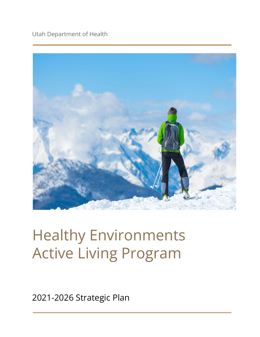Utah Department of Health



# Healthy Environments Active Living Program

2021-2026 Strategic Plan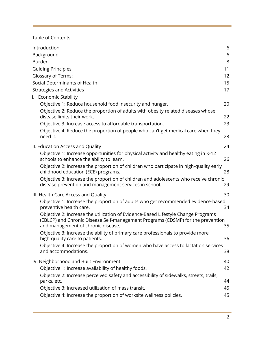Table of Contents

| Introduction<br>Background<br><b>Burden</b><br><b>Guiding Principles</b><br><b>Glossary of Terms:</b><br>Social Determinants of Health<br><b>Strategies and Activities</b><br>I. Economic Stability        | 6<br>6<br>8<br>11<br>12<br>15<br>17 |
|------------------------------------------------------------------------------------------------------------------------------------------------------------------------------------------------------------|-------------------------------------|
| Objective 1: Reduce household food insecurity and hunger.                                                                                                                                                  | 20                                  |
| Objective 2: Reduce the proportion of adults with obesity related diseases whose<br>disease limits their work.                                                                                             | 22                                  |
| Objective 3: Increase access to affordable transportation.                                                                                                                                                 | 23                                  |
| Objective 4: Reduce the proportion of people who can't get medical care when they<br>need it.                                                                                                              | 23                                  |
| II. Education Access and Quality                                                                                                                                                                           | 24                                  |
| Objective 1: Increase opportunities for physical activity and healthy eating in K-12<br>schools to enhance the ability to learn.                                                                           | 26                                  |
| Objective 2: Increase the proportion of children who participate in high-quality early<br>childhood education (ECE) programs.                                                                              | 28                                  |
| Objective 3: Increase the proportion of children and adolescents who receive chronic<br>disease prevention and management services in school.                                                              | 29                                  |
| III. Health Care Access and Quality                                                                                                                                                                        | 30                                  |
| Objective 1: Increase the proportion of adults who get recommended evidence-based<br>preventive health care.                                                                                               | 34                                  |
| Objective 2: Increase the utilization of Evidence-Based Lifestyle Change Programs<br>(EBLCP) and Chronic Disease Self-management Programs (CDSMP) for the prevention<br>and management of chronic disease. | 35                                  |
| Objective 3: Increase the ability of primary care professionals to provide more<br>high-quality care to patients.                                                                                          | 36                                  |
| Objective 4: Increase the proportion of women who have access to lactation services<br>and accommodations.                                                                                                 | 38                                  |
| IV. Neighborhood and Built Environment                                                                                                                                                                     | 40                                  |
| Objective 1: Increase availability of healthy foods.                                                                                                                                                       | 42                                  |
| Objective 2: Increase perceived safety and accessibility of sidewalks, streets, trails,<br>parks, etc.                                                                                                     | 44                                  |
| Objective 3: Increased utilization of mass transit.                                                                                                                                                        | 45                                  |
| Objective 4: Increase the proportion of worksite wellness policies.                                                                                                                                        | 45                                  |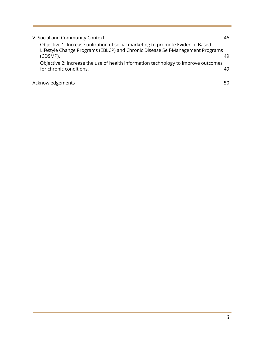<span id="page-2-0"></span>

| V. Social and Community Context                                                                                                                                               | 46 |
|-------------------------------------------------------------------------------------------------------------------------------------------------------------------------------|----|
| Objective 1: Increase utilization of social marketing to promote Evidence-Based<br>Lifestyle Change Programs (EBLCP) and Chronic Disease Self-Management Programs<br>(CDSMP). | 49 |
| Objective 2: Increase the use of health information technology to improve outcomes<br>for chronic conditions.                                                                 | 49 |
| Acknowledgements                                                                                                                                                              | 50 |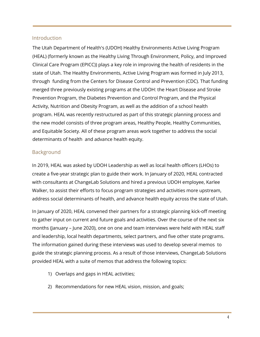#### Introduction

The Utah Department of Health's (UDOH) Healthy Environments Active Living Program (HEAL) (formerly known as the Healthy Living Through Environment, Policy, and Improved Clinical Care Program (EPICC)) plays a key role in improving the health of residents in the state of Utah. The Healthy Environments, Active Living Program was formed in July 2013, through funding from the Centers for Disease Control and Prevention (CDC). That funding merged three previously existing programs at the UDOH: the Heart Disease and Stroke Prevention Program, the Diabetes Prevention and Control Program, and the Physical Activity, Nutrition and Obesity Program, as well as the addition of a school health program. HEAL was recently restructured as part of this strategic planning process and the new model consists of three program areas, Healthy People, Healthy Communities, and Equitable Society. All of these program areas work together to address the social determinants of health and advance health equity.

## <span id="page-3-0"></span>Background

In 2019, HEAL was asked by UDOH Leadership as well as local health officers (LHOs) to create a five-year strategic plan to guide their work. In January of 2020, HEAL contracted with consultants at ChangeLab Solutions and hired a previous UDOH employee, Karlee Walker, to assist their efforts to focus program strategies and activities more upstream, address social determinants of health, and advance health equity across the state of Utah.

In January of 2020, HEAL convened their partners for a strategic planning kick-off meeting to gather input on current and future goals and activities. Over the course of the next six months (January – June 2020), one on one and team interviews were held with HEAL staff and leadership, local health departments, select partners, and five other state programs. The information gained during these interviews was used to develop several memos to guide the strategic planning process. As a result of those interviews, ChangeLab Solutions provided HEAL with a suite of memos that address the following topics:

- 1) Overlaps and gaps in HEAL activities;
- 2) Recommendations for new HEAL vision, mission, and goals;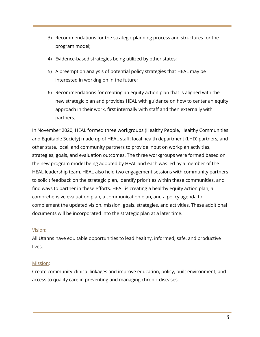- 3) Recommendations for the strategic planning process and structures for the program model;
- 4) Evidence-based strategies being utilized by other states;
- 5) A preemption analysis of potential policy strategies that HEAL may be interested in working on in the future;
- 6) Recommendations for creating an equity action plan that is aligned with the new strategic plan and provides HEAL with guidance on how to center an equity approach in their work, first internally with staff and then externally with partners.

In November 2020, HEAL formed three workgroups (Healthy People, Healthy Communities and Equitable Society) made up of HEAL staff; local health department (LHD) partners; and other state, local, and community partners to provide input on workplan activities, strategies, goals, and evaluation outcomes. The three workgroups were formed based on the new program model being adopted by HEAL and each was led by a member of the HEAL leadership team. HEAL also held two engagement sessions with community partners to solicit feedback on the strategic plan, identify priorities within these communities, and find ways to partner in these efforts. HEAL is creating a healthy equity action plan, a comprehensive evaluation plan, a communication plan, and a policy agenda to complement the updated vision, mission, goals, strategies, and activities. These additional documents will be incorporated into the strategic plan at a later time.

#### Vision:

All Utahns have equitable opportunities to lead healthy, informed, safe, and productive lives.

## Mission:

Create community-clinical linkages and improve education, policy, built environment, and access to quality care in preventing and managing chronic diseases.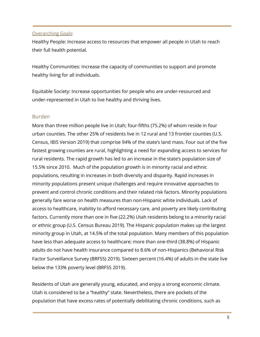#### Overarching Goals:

Healthy People: Increase access to resources that empower all people in Utah to reach their full health potential.

Healthy Communities: Increase the capacity of communities to support and promote healthy living for all individuals.

Equitable Society: Increase opportunities for people who are under-resourced and under-represented in Utah to live healthy and thriving lives.

#### <span id="page-5-0"></span>Burden

More than three million people live in Utah; four-fifths (75.2%) of whom reside in four urban counties. The other 25% of residents live in 12 rural and 13 frontier counties (U.S. Census, IBIS Version 2019) that comprise 94% of the state's land mass. Four out of the five fastest growing counties are rural, highlighting a need for expanding access to services for rural residents. The rapid growth has led to an increase in the state's population size of 15.5% since 2010. Much of the population growth is in minority racial and ethnic populations, resulting in increases in both diversity and disparity. Rapid increases in minority populations present unique challenges and require innovative approaches to prevent and control chronic conditions and their related risk factors. Minority populations generally fare worse on health measures than non-Hispanic white individuals. Lack of access to healthcare, inability to afford necessary care, and poverty are likely contributing factors. Currently more than one in five (22.2%) Utah residents belong to a minority racial or ethnic group (U.S. Census Bureau 2019). The Hispanic population makes up the largest minority group in Utah, at 14.5% of the total population. Many members of this population have less than adequate access to healthcare; more than one-third (38.8%) of Hispanic adults do not have health insurance compared to 8.6% of non-Hispanics (Behavioral Risk Factor Surveillance Survey (BRFSS) 2019). Sixteen percent (16.4%) of adults in the state live below the 133% poverty level (BRFSS 2019).

Residents of Utah are generally young, educated, and enjoy a strong economic climate. Utah is considered to be a "healthy" state. Nevertheless, there are pockets of the population that have excess rates of potentially debilitating chronic conditions, such as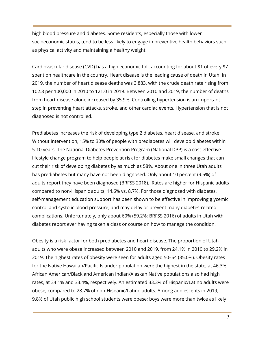high blood pressure and diabetes. Some residents, especially those with lower socioeconomic status, tend to be less likely to engage in preventive health behaviors such as physical activity and maintaining a healthy weight.

Cardiovascular disease (CVD) has a high economic toll, accounting for about \$1 of every \$7 spent on healthcare in the country. Heart disease is the leading cause of death in Utah. In 2019, the number of heart disease deaths was 3,883, with the crude death rate rising from 102.8 per 100,000 in 2010 to 121.0 in 2019. Between 2010 and 2019, the number of deaths from heart disease alone increased by 35.9%. Controlling hypertension is an important step in preventing heart attacks, stroke, and other cardiac events. Hypertension that is not diagnosed is not controlled.

Prediabetes increases the risk of developing type 2 diabetes, heart disease, and stroke. Without intervention, 15% to 30% of people with prediabetes will develop diabetes within 5-10 years. The National Diabetes Prevention Program (National DPP) is a cost-effective lifestyle change program to help people at risk for diabetes make small changes that can cut their risk of developing diabetes by as much as 58%. About one in three Utah adults has prediabetes but many have not been diagnosed. Only about 10 percent (9.5%) of adults report they have been diagnosed (BRFSS 2018). Rates are higher for Hispanic adults compared to non-Hispanic adults, 14.6% vs. 8.7%. For those diagnosed with diabetes, self-management education support has been shown to be effective in improving glycemic control and systolic blood pressure, and may delay or prevent many diabetes-related complications. Unfortunately, only about 60% (59.2%; BRFSS 2016) of adults in Utah with diabetes report ever having taken a class or course on how to manage the condition.

Obesity is a risk factor for both prediabetes and heart disease. The proportion of Utah adults who were obese increased between 2010 and 2019, from 24.1% in 2010 to 29.2% in 2019. The highest rates of obesity were seen for adults aged 50–64 (35.0%). Obesity rates for the Native Hawaiian/Pacific Islander population were the highest in the state, at 46.3%. African American/Black and American Indian/Alaskan Native populations also had high rates, at 34.1% and 33.4%, respectively. An estimated 33.3% of Hispanic/Latino adults were obese, compared to 28.7% of non-Hispanic/Latino adults. Among adolescents in 2019, 9.8% of Utah public high school students were obese; boys were more than twice as likely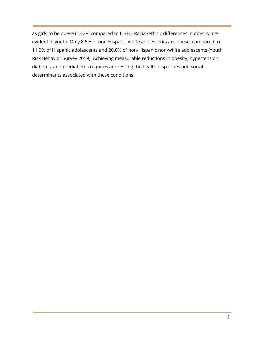<span id="page-7-0"></span>as girls to be obese (13.2% compared to 6.3%). Racial/ethnic differences in obesity are evident in youth. Only 8.5% of non-Hispanic white adolescents are obese, compared to 11.0% of Hispanic adolescents and 20.0% of non-Hispanic non-white adolescents (Youth Risk Behavior Survey 2019). Achieving measurable reductions in obesity, hypertension, diabetes, and prediabetes requires addressing the health disparities and social determinants associated with these conditions.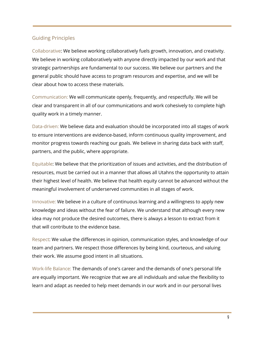## Guiding Principles

Collaborative: We believe working collaboratively fuels growth, innovation, and creativity. We believe in working collaboratively with anyone directly impacted by our work and that strategic partnerships are fundamental to our success. We believe our partners and the general public should have access to program resources and expertise, and we will be clear about how to access these materials.

Communication: We will communicate openly, frequently, and respectfully. We will be clear and transparent in all of our communications and work cohesively to complete high quality work in a timely manner.

Data-driven: We believe data and evaluation should be incorporated into all stages of work to ensure interventions are evidence-based, inform continuous quality improvement, and monitor progress towards reaching our goals. We believe in sharing data back with staff, partners, and the public, where appropriate.

Equitable: We believe that the prioritization of issues and activities, and the distribution of resources, must be carried out in a manner that allows all Utahns the opportunity to attain their highest level of health. We believe that health equity cannot be advanced without the meaningful involvement of underserved communities in all stages of work.

Innovative: We believe in a culture of continuous learning and a willingness to apply new knowledge and ideas without the fear of failure. We understand that although every new idea may not produce the desired outcomes, there is always a lesson to extract from it that will contribute to the evidence base.

Respect: We value the differences in opinion, communication styles, and knowledge of our team and partners. We respect those differences by being kind, courteous, and valuing their work. We assume good intent in all situations.

Work-life Balance: The demands of one's career and the demands of one's personal life are equally important. We recognize that we are all individuals and value the flexibility to learn and adapt as needed to help meet demands in our work and in our personal lives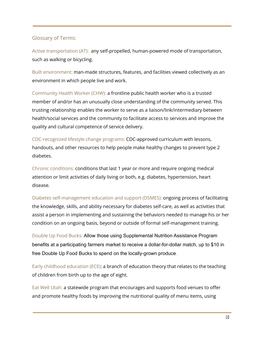## <span id="page-9-0"></span>Glossary of Terms:

Active transportation (AT): any self-propelled, human-powered mode of transportation, such as walking or bicycling.

Built environment: man-made structures, features, and facilities viewed collectively as an environment in which people live and work.

Community Health Worker (CHW): a frontline public health worker who is a trusted member of and/or has an unusually close understanding of the community served. This trusting relationship enables the worker to serve as a liaison/link/intermediary between health/social services and the community to facilitate access to services and improve the quality and cultural competence of service delivery.

CDC-recognized lifestyle change programs: CDC-approved curriculum with lessons, handouts, and other resources to help people make healthy changes to prevent type 2 diabetes.

Chronic conditions: conditions that last 1 year or more and require ongoing medical attention or limit activities of daily living or both, e.g. diabetes, hypertension, heart disease.

Diabetes self-management education and support (DSMES): ongoing process of facilitating the knowledge, skills, and ability necessary for diabetes self-care, as well as activities that assist a person in implementing and sustaining the behaviors needed to manage his or her condition on an ongoing basis, beyond or outside of formal self-management training.

Double Up Food Bucks: Allow those using Supplemental Nutrition Assistance Program benefits at a participating farmers market to receive a dollar-for-dollar match, up to \$10 in free Double Up Food Bucks to spend on the locally-grown produce.

Early childhood education (ECE): a branch of education theory that relates to the teaching of children from birth up to the age of eight.

Eat Well Utah: a statewide program that encourages and supports food venues to offer and promote healthy foods by improving the nutritional quality of menu items, using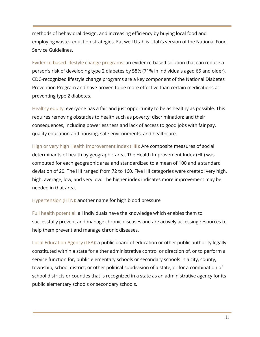methods of behavioral design, and increasing efficiency by buying local food and employing waste-reduction strategies. Eat well Utah is Utah's version of the National Food Service Guidelines.

Evidence-based lifestyle change programs: an evidence-based solution that can reduce a person's risk of developing type 2 diabetes by 58% (71% in individuals aged 65 and older). CDC-recognized lifestyle change programs are a key component of the National Diabetes Prevention Program and have proven to be more effective than certain medications at preventing type 2 diabetes.

Healthy equity: everyone has a fair and just opportunity to be as healthy as possible. This requires removing obstacles to health such as poverty; discrimination; and their consequences, including powerlessness and lack of access to good jobs with fair pay, quality education and housing, safe environments, and healthcare.

High or very high Health Improvement Index (HII): Are composite measures of social determinants of health by geographic area. The Health Improvement Index (HII) was computed for each geographic area and standardized to a mean of 100 and a standard deviation of 20. The HII ranged from 72 to 160. Five HII categories were created: very high, high, average, low, and very low. The higher index indicates more improvement may be needed in that area.

Hypertension (HTN): another name for high blood pressure

Full health potential: all individuals have the knowledge which enables them to successfully prevent and manage chronic diseases and are actively accessing resources to help them prevent and manage chronic diseases.

Local Education Agency (LEA): a public board of education or other public authority legally constituted within a state for either administrative control or direction of, or to perform a service function for, public elementary schools or secondary schools in a city, county, township, school district, or other political subdivision of a state, or for a combination of school districts or counties that is recognized in a state as an administrative agency for its public elementary schools or secondary schools.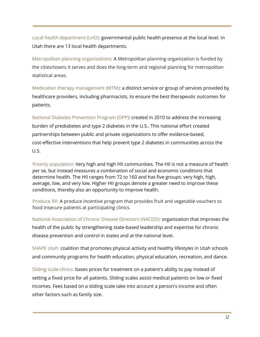Local health department (LHD): governmental public health presence at the local level. In Utah there are 13 local health departments.

Metropolitan planning organizations: A Metropolitan planning organization is funded by the cities/towns it serves and does the long-term and regional planning for metropolitan statistical areas.

Medication therapy management (MTM): a distinct service or group of services provided by healthcare providers, including pharmacists, to ensure the best therapeutic outcomes for patients.

National Diabetes Prevention Program (DPP): created in 2010 to address the increasing burden of prediabetes and type 2 diabetes in the U.S.. This national effort created partnerships between public and private organizations to offer evidence-based, cost-effective interventions that help prevent type 2 diabetes in communities across the U.S.

Priority population: Very high and high HII communities. The HII is not a measure of health per se, but instead measures a combination of social and economic conditions that determine health. The HII ranges from 72 to 160 and has five groups: very high, high, average, low, and very low. Higher HII groups denote a greater need to improve these conditions, thereby also an opportunity to improve health.

Produce RX: A produce incentive program that provides fruit and vegetable vouchers to food insecure patients at participating clinics.

National Association of Chronic Disease Directors (NACDD): organization that improves the health of the public by strengthening state-based leadership and expertise for chronic disease prevention and control in states and at the national level.

SHAPE Utah: coalition that promotes physical activity and healthy lifestyles in Utah schools and community programs for health education, physical education, recreation, and dance.

Sliding scale clinics: bases prices for treatment on a patient's ability to pay instead of setting a fixed price for all patients. Sliding scales assist medical patients on low or fixed incomes. Fees based on a sliding scale take into account a person's income and often other factors such as family size.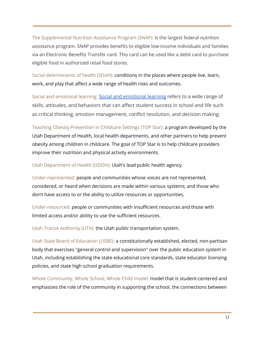The Supplemental Nutrition Assistance Program (SNAP): is the largest federal nutrition assistance program. SNAP provides benefits to eligible low-income individuals and families via an Electronic Benefits Transfer card. This card can be used like a debit card to purchase eligible food in authorized retail food stores.

Social determinants of health (SDoH): conditions in the places where people live, learn, work, and play that affect a wide range of health risks and outcomes.

Social and [emotional](https://casel.org/overview-sel/) learning: Social and emotional learning refers to a wide range of skills, attitudes, and behaviors that can affect student success in school and life such as critical thinking, emotion management, conflict resolution, and decision making.

Teaching Obesity Prevention in Childcare Settings (TOP Star): a program developed by the Utah Department of Health, local health departments, and other partners to help prevent obesity among children in childcare. The goal of TOP Star is to help childcare providers improve their nutrition and physical activity environments.

Utah Department of Health (UDOH): Utah's lead public health agency.

Under-represented: people and communities whose voices are not represented, considered, or heard when decisions are made within various systems; and those who don't have access to or the ability to utilize resources or opportunities.

Under-resourced: people or communities with insufficient resources and those with limited access and/or ability to use the sufficient resources.

Utah Transit Authority (UTA): the Utah public transportation system.

Utah State Board of Education (USBE): a constitutionally established, elected, non-partisan body that exercises "general control and supervision" over the public education system in Utah, including establishing the state educational core standards, state educator licensing policies, and state high school graduation requirements.

Whole Community, Whole School, Whole Child model: model that is student-centered and emphasizes the role of the community in supporting the school, the connections between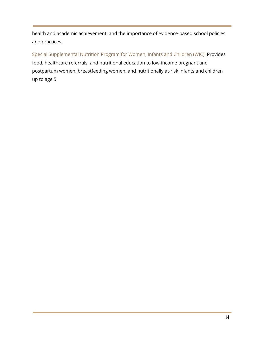health and academic achievement, and the importance of evidence-based school policies and practices.

Special Supplemental Nutrition Program for Women, Infants and Children (WIC): Provides food, healthcare referrals, and nutritional education to low-income pregnant and postpartum women, breastfeeding women, and nutritionally at-risk infants and children up to age 5.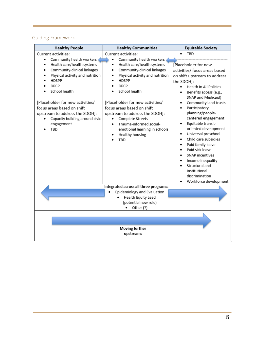# Guiding Framework

<span id="page-14-0"></span>

| <b>Healthy People</b>                                                                                                                                                                                                                                                                                                                                              | <b>Healthy Communities</b>                                                                                                                                                                                                                                                                                                                                                                                                        | <b>Equitable Society</b>                                                                                                                                                                                                                                                                                                                                                                                                                                                                                                                  |
|--------------------------------------------------------------------------------------------------------------------------------------------------------------------------------------------------------------------------------------------------------------------------------------------------------------------------------------------------------------------|-----------------------------------------------------------------------------------------------------------------------------------------------------------------------------------------------------------------------------------------------------------------------------------------------------------------------------------------------------------------------------------------------------------------------------------|-------------------------------------------------------------------------------------------------------------------------------------------------------------------------------------------------------------------------------------------------------------------------------------------------------------------------------------------------------------------------------------------------------------------------------------------------------------------------------------------------------------------------------------------|
| Current activities:<br>Community health workers<br>٠<br>Health care/health systems<br>٠<br>Community-clinical linkages<br>٠<br>Physical activity and nutrition<br>HDSPP<br><b>DPCP</b><br>School health<br>[Placeholder for new activities/<br>focus areas based on shift<br>upstream to address the SDOH]:<br>Capacity building around civic<br>engagement<br>TBD | Current activities:<br>Community health workers<br>٠<br>Health care/health systems<br>٠<br>Community-clinical linkages<br>٠<br>Physical activity and nutrition<br>٠<br><b>HDSPP</b><br><b>DPCP</b><br>School health<br>[Placeholder for new activities/<br>focus areas based on shift<br>upstream to address the SDOH]:<br>Complete Streets<br>Trauma-informed social-<br>emotional learning in schools<br>Healthy housing<br>TBD | TBD<br>[Placeholder for new<br>activities/ focus areas based<br>on shift upstream to address<br>the SDOH]:<br>Health in All Policies<br>Benefits access (e.g.,<br>SNAP and Medicaid)<br>Community land trusts<br>٠<br>Participatory<br>planning/people-<br>centered engagement<br>Equitable transit-<br>oriented development<br>Universal preschool<br>Child care subsidies<br>Paid family leave<br>Paid sick leave<br>SNAP incentives<br>Income inequality<br>Structural and<br>institutional<br>discrimination<br>Workforce development |
|                                                                                                                                                                                                                                                                                                                                                                    | Integrated across all three programs:<br>Epidemiology and Evaluation<br>Health Equity Lead<br>(potential new role)<br>Other (?)<br><b>Moving further</b><br>upstream:                                                                                                                                                                                                                                                             |                                                                                                                                                                                                                                                                                                                                                                                                                                                                                                                                           |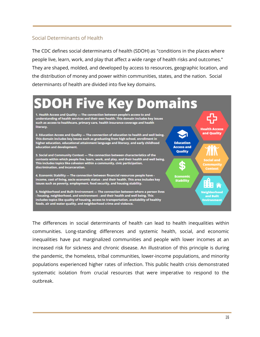## Social Determinants of Health

The CDC defines social determinants of health (SDOH) as "conditions in the places where people live, learn, work, and play that affect a wide range of health risks and outcomes." They are shaped, molded, and developed by access to resources, geographic location, and the distribution of money and power within communities, states, and the nation. Social determinants of health are divided into five key domains.



The differences in social determinants of health can lead to health inequalities within communities. Long-standing differences and systemic health, social, and economic inequalities have put marginalized communities and people with lower incomes at an increased risk for sickness and chronic disease. An illustration of this principle is during the pandemic, the homeless, tribal communities, lower-income populations, and minority populations experienced higher rates of infection. This public health crisis demonstrated systematic isolation from crucial resources that were imperative to respond to the outbreak.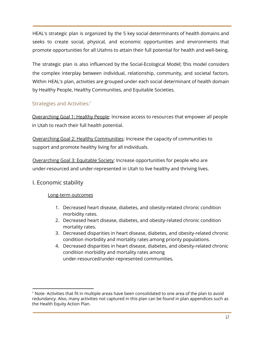HEAL's strategic plan is organized by the 5 key social determinants of health domains and seeks to create social, physical, and economic opportunities and environments that promote opportunities for all Utahns to attain their full potential for health and well-being.

The strategic plan is also influenced by the Social-Ecological Model; this model considers the complex interplay between individual, relationship, community, and societal factors. Within HEAL's plan, activities are grouped under each social determinant of health domain by Healthy People, Healthy Communities, and Equitable Societies.

# <span id="page-16-0"></span>Strategies and Activities:<sup>1</sup>

Overarching Goal 1: Healthy People: Increase access to resources that empower all people in Utah to reach their full health potential.

Overarching Goal 2: Healthy Communities: Increase the capacity of communities to support and promote healthy living for all individuals.

Overarching Goal 3: Equitable Society: Increase opportunities for people who are under-resourced and under-represented in Utah to live healthy and thriving lives.

## I. Economic stability

#### Long-term outcomes

- 1. Decreased heart disease, diabetes, and obesity-related chronic condition morbidity rates.
- 2. Decreased heart disease, diabetes, and obesity-related chronic condition mortality rates.
- 3. Decreased disparities in heart disease, diabetes, and obesity-related chronic condition morbidity and mortality rates among priority populations.
- 4. Decreased disparities in heart disease, diabetes, and obesity-related chronic condition morbidity and mortality rates among under-resourced/under-represented communities.

 $1$  Note- Activities that fit in multiple areas have been consolidated to one area of the plan to avoid redundancy. Also, many activities not captured in this plan can be found in plan appendices such as the Health Equity Action Plan.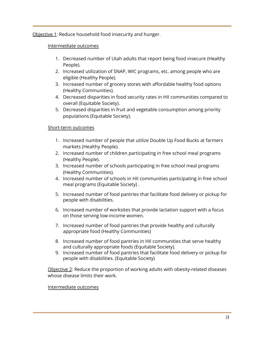#### Objective 1: Reduce household food insecurity and hunger.

#### Intermediate outcomes

- 1. Decreased number of Utah adults that report being food insecure (Healthy People).
- 2. Increased utilization of SNAP, WIC programs, etc. among people who are eligible (Healthy People).
- 3. Increased number of grocery stores with affordable healthy food options (Healthy Communities).
- 4. Decreased disparities in food security rates in HII communities compared to overall (Equitable Society).
- 5. Decreased disparities in fruit and vegetable consumption among priority populations (Equitable Society).

#### Short-term outcomes

- 1. Increased number of people that utilize Double Up Food Bucks at farmers markets (Healthy People).
- 2. Increased number of children participating in free school meal programs (Healthy People).
- 3. Increased number of schools participating in free school meal programs (Healthy Communities).
- 4. Increased number of schools in HII communities participating in free school meal programs (Equitable Society) .
- 5. Increased number of food pantries that facilitate food delivery or pickup for people with disabilities.
- 6. Increased number of worksites that provide lactation support with a focus on those serving low-income women.
- 7. Increased number of food pantries that provide healthy and culturally appropriate food (Healthy Communities)
- 8. Increased number of food pantries in HII communities that serve healthy and culturally appropriate foods (Equitable Society).
- 9. Increased number of food pantries that facilitate food delivery or pickup for people with disabilities. (Equitable Society)

Objective 2: Reduce the proportion of working adults with obesity-related diseases whose disease limits their work.

#### Intermediate outcomes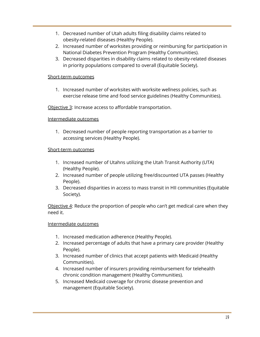- 1. Decreased number of Utah adults filing disability claims related to obesity-related diseases (Healthy People).
- 2. Increased number of worksites providing or reimbursing for participation in National Diabetes Prevention Program (Healthy Communities).
- 3. Decreased disparities in disability claims related to obesity-related diseases in priority populations compared to overall (Equitable Society).

#### Short-term outcomes

1. Increased number of worksites with worksite wellness policies, such as exercise release time and food service guidelines (Healthy Communities).

Objective 3: Increase access to affordable transportation.

#### Intermediate outcomes

1. Decreased number of people reporting transportation as a barrier to accessing services (Healthy People).

#### Short-term outcomes

- 1. Increased number of Utahns utilizing the Utah Transit Authority (UTA) (Healthy People).
- 2. Increased number of people utilizing free/discounted UTA passes (Healthy People).
- 3. Decreased disparities in access to mass transit in HII communities (Equitable Society).

Objective 4: Reduce the proportion of people who can't get medical care when they need it.

#### Intermediate outcomes

- 1. Increased medication adherence (Healthy People).
- 2. Increased percentage of adults that have a primary care provider (Healthy People).
- 3. Increased number of clinics that accept patients with Medicaid (Healthy Communities).
- 4. Increased number of insurers providing reimbursement for telehealth chronic condition management (Healthy Communities).
- 5. Increased Medicaid coverage for chronic disease prevention and management (Equitable Society).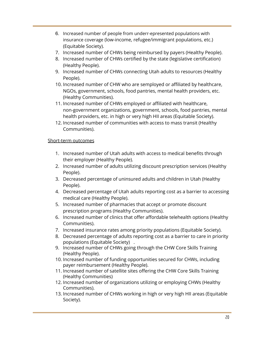- 6. Increased number of people from underr-epresented populations with insurance coverage (low-income, refugee/immigrant populations, etc.) (Equitable Society).
- 7. Increased number of CHWs being reimbursed by payers (Healthy People).
- 8. Increased number of CHWs certified by the state (legislative certification) (Healthy People).
- 9. Increased number of CHWs connecting Utah adults to resources (Healthy People).
- 10. Increased number of CHW who are semployed or affiliated by healthcare, NGOs, government, schools, food pantries, mental health providers, etc. (Healthy Communities).
- 11. Increased number of CHWs employed or affiliated with healthcare, non-government organizations, government, schools, food pantries, mental health providers, etc. in high or very high HII areas (Equitable Society).
- 12. Increased number of communities with access to mass transit (Healthy Communities).

## Short-term outcomes

- 1. Increased number of Utah adults with access to medical benefits through their employer (Healthy People).
- 2. Increased number of adults utilizing discount prescription services (Healthy People).
- 3. Decreased percentage of uninsured adults and children in Utah (Healthy People).
- 4. Decreased percentage of Utah adults reporting cost as a barrier to accessing medical care (Healthy People).
- 5. Increased number of pharmacies that accept or promote discount prescription programs (Healthy Communities).
- 6. Increased number of clinics that offer affordable telehealth options (Healthy Communities).
- 7. Increased insurance rates among priority populations (Equitable Society).
- 8. Decreased percentage of adults reporting cost as a barrier to care in priority populations (Equitable Society) .
- 9. Increased number of CHWs going through the CHW Core Skills Training (Healthy People).
- 10. Increased number of funding opportunities secured for CHWs, including payer reimbursement (Healthy People).
- 11. Increased number of satellite sites offering the CHW Core Skills Training (Healthy Communities)
- 12. Increased number of organizations utilizing or employing CHWs (Healthy Communities).
- 13. Increased number of CHWs working in high or very high HII areas (Equitable Society).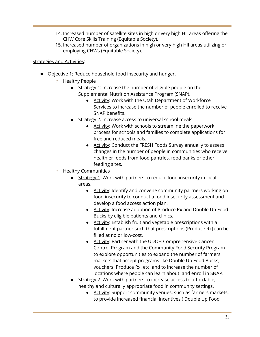- 14. Increased number of satellite sites in high or very high HII areas offering the CHW Core Skills Training (Equitable Society).
- 15. Increased number of organizations in high or very high HII areas utilizing or employing CHWs (Equitable Society).

## Strategies and Activities:

- <span id="page-20-0"></span>● Objective 1: Reduce household food insecurity and hunger.
	- Healthy People
		- Strategy 1: Increase the number of eligible people on the Supplemental Nutrition Assistance Program (SNAP).
			- Activity: Work with the Utah Department of Workforce Services to increase the number of people enrolled to receive SNAP benefits.
		- Strategy 2*:* Increase access to universal school meals.
			- Activity: Work with schools to streamline the paperwork process for schools and families to complete applications for free and reduced meals.
			- Activity: Conduct the FRESH Foods Survey annually to assess changes in the number of people in communities who receive healthier foods from food pantries, food banks or other feeding sites.
	- Healthy Communities
		- Strategy 1: Work with partners to reduce food insecurity in local areas.
			- Activity: Identify and convene community partners working on food insecurity to conduct a food insecurity assessment and develop a food access action plan.
			- Activity: Increase adoption of Produce Rx and Double Up Food Bucks by eligible patients and clinics.
			- Activity: Establish fruit and vegetable prescriptions with a fulfillment partner such that prescriptions (Produce Rx) can be filled at no or low-cost.
			- Activity: Partner with the UDOH Comprehensive Cancer Control Program and the Community Food Security Program to explore opportunities to expand the number of farmers markets that accept programs like Double Up Food Bucks, vouchers, Produce Rx, etc. and to increase the number of locations where people can learn about and enroll in SNAP.
		- Strategy 2: Work with partners to increase access to affordable, healthy and culturally appropriate food in community settings.
			- Activity: Support community venues, such as farmers markets, to provide increased financial incentives ( Double Up Food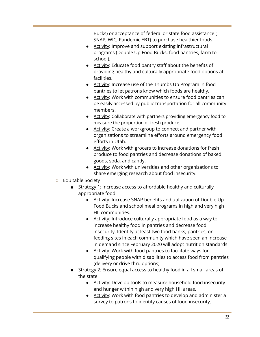Bucks) or acceptance of federal or state food assistance ( SNAP, WIC, Pandemic EBT) to purchase healthier foods.

- Activity: Improve and support existing infrastructural programs (Double Up Food Bucks, food pantries, farm to school).
- Activity: Educate food pantry staff about the benefits of providing healthy and culturally appropriate food options at facilities.
- Activity: Increase use of the Thumbs Up Program in food pantries to let patrons know which foods are healthy.
- Activity: Work with communities to ensure food pantries can be easily accessed by public transportation for all community members.
- Activity: Collaborate with partners providing emergency food to measure the proportion of fresh produce.
- Activity: Create a workgroup to connect and partner with organizations to streamline efforts around emergency food efforts in Utah.
- Activity: Work with grocers to increase donations for fresh produce to food pantries and decrease donations of baked goods, soda, and candy.
- Activity: Work with universities and other organizations to share emerging research about food insecurity.
- Equitable Society
	- Strategy 1: Increase access to affordable healthy and culturally appropriate food.
		- Activity: Increase SNAP benefits and utilization of Double Up Food Bucks and school meal programs in high and very high HII communities.
		- Activity: Introduce culturally appropriate food as a way to increase healthy food in pantries and decrease food insecurity. Identify at least two food banks, pantries, or feeding sites in each community which have seen an increase in demand since February 2020 will adopt nutrition standards.
		- Activity: Work with food pantries to facilitate ways for qualifying people with disabilities to access food from pantries (delivery or drive thru options)
	- Strategy 2: Ensure equal access to healthy food in all small areas of the state.
		- Activity: Develop tools to measure household food insecurity and hunger within high and very high HII areas.
		- Activity: Work with food pantries to develop and administer a survey to patrons to identify causes of food insecurity.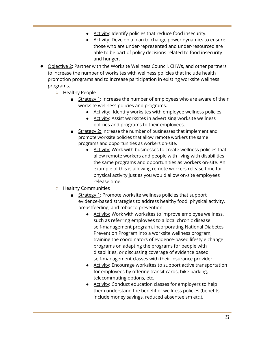- Activity: Identify policies that reduce food insecurity.
- Activity: Develop a plan to change power dynamics to ensure those who are under-represented and under-resourced are able to be part of policy decisions related to food insecurity and hunger.
- <span id="page-22-0"></span>● Objective 2: Partner with the Worksite Wellness Council, CHWs, and other partners to increase the number of worksites with wellness policies that include health promotion programs and to increase participation in existing worksite wellness programs.
	- Healthy People
		- Strategy 1: Increase the number of employees who are aware of their worksite wellness policies and programs.
			- Activity: Identify worksites with employee wellness policies.
			- Activity: Assist worksites in advertising worksite wellness policies and programs to their employees.
		- Strategy 2: Increase the number of businesses that implement and promote worksite policies that allow remote workers the same programs and opportunities as workers on-site.
			- Activity: Work with businesses to create wellness policies that allow remote workers and people with living with disabilities the same programs and opportunities as workers on-site. An example of this is allowing remote workers release time for physical activity just as you would allow on-site employees release time.
	- Healthy Communities
		- Strategy 1: Promote worksite wellness policies that support evidence-based strategies to address healthy food, physical activity, breastfeeding, and tobacco prevention.
			- Activity: Work with worksites to improve employee wellness, such as referring employees to a local chronic disease self-management program, incorporating National Diabetes Prevention Program into a worksite wellness program, training the coordinators of evidence-based lifestyle change programs on adapting the programs for people with disabilities, or discussing coverage of evidence based self-management classes with their insurance provider.
			- Activity: Encourage worksites to support active transportation for employees by offering transit cards, bike parking, telecommuting options, etc.
			- Activity: Conduct education classes for employers to help them understand the benefit of wellness policies (benefits include money savings, reduced absenteeism etc.).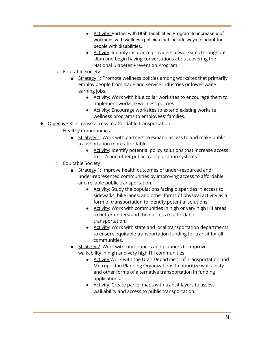- Activity: Partner with Utah Disabilities Program to increase # of worksites with wellness policies that include ways to adapt for people with disabilities.
- Activity: Identify insurance providers at worksites throughout Utah and begin having conversations about covering the National Diabetes Prevention Program.
- Equitable Society
	- Strategy 1: Promote wellness policies among worksites that primarily employ people from trade and service industries or lower-wage earning jobs.
		- Activity: Work with blue collar worksites to encourage them to implement worksite wellness policies.
		- Activity: Encourage worksites to extend existing worksite wellness programs to employees' families.
- <span id="page-23-0"></span> $\bullet$  Objective 3: Increase access to affordable transportation.
	- Healthy Communities
		- Strategy 1: Work with partners to expand access to and make public transportation more affordable.
			- Activity: Identify potential policy solutions that increase access to UTA and other public transportation systems.
	- Equitable Society
		- Strategy 1: Improve health outcomes of under-resourced and under-represented communities by improving access to affordable and reliable public transportation.
			- Activity: Study the populations facing disparities in access to sidewalks, bike lanes, and other forms of physical activity as a form of transportation to identify potential solutions.
			- Activity: Work with communities in high or very high HII areas to better understand their access to affordable transportation.
			- Activity: Work with state and local transportation departments to ensure equitable transportation funding for transit for all communities.
		- Strategy 2: Work with city councils and planners to improve walkability in high and very high HII communities.
			- Activity:Work with the Utah Department of Transportation and Metropolitan Planning Organizations to prioritize walkability and other forms of alternative transportation in funding applications.
			- Activity: Create parcel maps with transit layers to assess walkability and access to public transportation.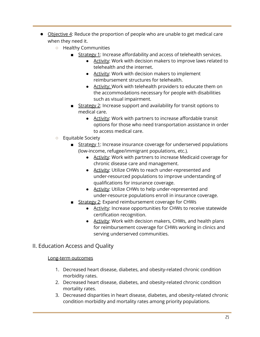- <span id="page-24-0"></span>● Objective 4: Reduce the proportion of people who are unable to get medical care when they need it.
	- Healthy Communities
		- Strategy 1: Increase affordability and access of telehealth services.
			- Activity: Work with decision makers to improve laws related to telehealth and the internet.
			- Activity: Work with decision makers to implement reimbursement structures for telehealth.
			- Activity: Work with telehealth providers to educate them on the accommodations necessary for people with disabilities such as visual impairment.
		- Strategy 2: Increase support and availability for transit options to medical care.
			- Activity: Work with partners to increase affordable transit options for those who need transportation assistance in order to access medical care.
	- Equitable Society
		- Strategy 1: Increase insurance coverage for underserved populations (low-income, refugee/immigrant populations, etc.).
			- Activity: Work with partners to increase Medicaid coverage for chronic disease care and management.
			- Activity: Utilize CHWs to reach under-represented and under-resourced populations to improve understanding of qualifications for insurance coverage.
			- Activity: Utilize CHWs to help under-represented and under-resource populations enroll in insurance coverage.
		- Strategy 2: Expand reimbursement coverage for CHWs
			- Activity: Increase opportunities for CHWs to receive statewide certification recognition.
			- Activity: Work with decision makers, CHWs, and health plans for reimbursement coverage for CHWs working in clinics and serving underserved communities.

# <span id="page-24-1"></span>II. Education Access and Quality

## Long-term outcomes

- 1. Decreased heart disease, diabetes, and obesity-related chronic condition morbidity rates.
- 2. Decreased heart disease, diabetes, and obesity-related chronic condition mortality rates.
- 3. Decreased disparities in heart disease, diabetes, and obesity-related chronic condition morbidity and mortality rates among priority populations.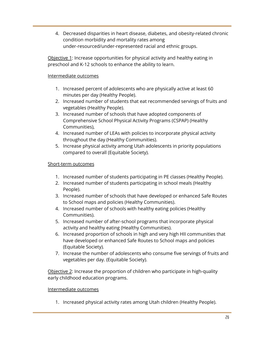4. Decreased disparities in heart disease, diabetes, and obesity-related chronic condition morbidity and mortality rates among under-resourced/under-represented racial and ethnic groups.

Objective 1: Increase opportunities for physical activity and healthy eating in preschool and K-12 schools to enhance the ability to learn.

## Intermediate outcomes

- 1. Increased percent of adolescents who are physically active at least 60 minutes per day (Healthy People).
- 2. Increased number of students that eat recommended servings of fruits and vegetables (Healthy People).
- 3. Increased number of schools that have adopted components of Comprehensive School Physical Activity Programs (CSPAP) (Healthy Communities),
- 4. Increased number of LEAs with policies to incorporate physical activity throughout the day (Healthy Communities).
- 5. Increase physical activity among Utah adolescents in priority populations compared to overall (Equitable Society).

## Short-term outcomes

- 1. Increased number of students participating in PE classes (Healthy People).
- 2. Increased number of students participating in school meals (Healthy People).
- 3. Increased number of schools that have developed or enhanced Safe Routes to School maps and policies (Healthy Communities).
- 4. Increased number of schools with healthy eating policies (Healthy Communities).
- 5. Increased number of after-school programs that incorporate physical activity and healthy eating (Healthy Communities).
- 6. Increased proportion of schools in high and very high HII communities that have developed or enhanced Safe Routes to School maps and policies (Equitable Society).
- 7. Increase the number of adolescents who consume five servings of fruits and vegetables per day. (Equitable Society).

Objective 2: Increase the proportion of children who participate in high-quality early childhood education programs.

## Intermediate outcomes

1. Increased physical activity rates among Utah children (Healthy People).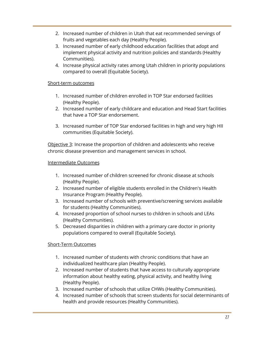- 2. Increased number of children in Utah that eat recommended servings of fruits and vegetables each day (Healthy People).
- 3. Increased number of early childhood education facilities that adopt and implement physical activity and nutrition policies and standards (Healthy Communities).
- 4. Increase physical activity rates among Utah children in priority populations compared to overall (Equitable Society).

## Short-term outcomes

- 1. Increased number of children enrolled in TOP Star endorsed facilities (Healthy People).
- 2. Increased number of early childcare and education and Head Start facilities that have a TOP Star endorsement.
- 3. Increased number of TOP Star endorsed facilities in high and very high HII communities (Equitable Society).

Objective 3: Increase the proportion of children and adolescents who receive chronic disease prevention and management services in school.

#### Intermediate Outcomes

- 1. Increased number of children screened for chronic disease at schools (Healthy People).
- 2. Increased number of eligible students enrolled in the Children's Health Insurance Program (Healthy People).
- 3. Increased number of schools with preventive/screening services available for students (Healthy Communities).
- 4. Increased proportion of school nurses to children in schools and LEAs (Healthy Communities).
- 5. Decreased disparities in children with a primary care doctor in priority populations compared to overall (Equitable Society).

## Short-Term Outcomes

- 1. Increased number of students with chronic conditions that have an individualized healthcare plan (Healthy People).
- 2. Increased number of students that have access to culturally appropriate information about healthy eating, physical activity, and healthy living (Healthy People).
- 3. Increased number of schools that utilize CHWs (Healthy Communities).
- 4. Increased number of schools that screen students for social determinants of health and provide resources (Healthy Communities).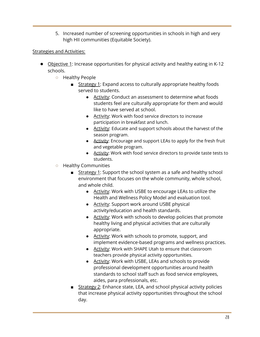5. Increased number of screening opportunities in schools in high and very high HII communities (Equitable Society).

Strategies and Activities:

- <span id="page-27-0"></span>● Objective 1: Increase opportunities for physical activity and healthy eating in K-12 schools.
	- Healthy People
		- Strategy 1: Expand access to culturally appropriate healthy foods served to students.
			- Activity: Conduct an assessment to determine what foods students feel are culturally appropriate for them and would like to have served at school.
			- Activity: Work with food service directors to increase participation in breakfast and lunch.
			- Activity: Educate and support schools about the harvest of the season program.
			- Activity: Encourage and support LEAs to apply for the fresh fruit and vegetable program.
			- Activity: Work with food service directors to provide taste tests to students.
	- Healthy Communities
		- Strategy 1: Support the school system as a safe and healthy school environment that focuses on the whole community, whole school, and whole child.
			- Activity: Work with USBE to encourage LEAs to utilize the Health and Wellness Policy Model and evaluation tool.
			- Activity: Support work around USBE physical activity/education and health standards.
			- Activity: Work with schools to develop policies that promote healthy living and physical activities that are culturally appropriate.
			- Activity: Work with schools to promote, support, and implement evidence-based programs and wellness practices.
			- Activity: Work with SHAPE Utah to ensure that classroom teachers provide physical activity opportunities.
			- **●** Activity: Work with USBE, LEAs and schools to provide professional development opportunities around health standards to school staff such as food service employees, aides, para professionals, etc.
		- Strategy 2: Enhance state, LEA, and school physical activity policies that increase physical activity opportunities throughout the school day.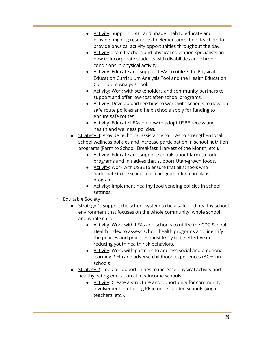- Activity: Support USBE and Shape Utah to educate and provide ongoing resources to elementary school teachers to provide physical activity opportunities throughout the day.
- Activity: Train teachers and physical education specialists on how to incorporate students with disabilities and chronic conditions in physical activity..
- Activity: Educate and support LEAs to utilize the Physical Education Curriculum Analysis Tool and the Health Education Curriculum Analysis Tool.
- Activity: Work with stakeholders and community partners to support and offer low-cost after-school programs.
- Activity: Develop partnerships to work with schools to develop safe route policies and help schools apply for funding to ensure safe routes.
- Activity: Educate LEAs on how to adopt USBE recess and health and wellness policies.
- Strategy 3: Provide technical assistance to LEAs to strengthen local school wellness policies and increase participation in school nutrition programs (Farm to School, Breakfast, Harvest of the Month, etc.).
	- Activity: Educate and support schools about farm-to-fork programs and initiatives that support Utah-grown foods.
	- Activity: Work with USBE to ensure that all schools who participate in the school lunch program offer a breakfast program.
	- Activity: Implement healthy food vending policies in school settings.
- Equitable Society
	- Strategy 1: Support the school system to be a safe and healthy school environment that focuses on the whole community, whole school, and whole child.
		- Activity: Work with LEAs and schools to utilize the CDC School Health Index to assess school health programs and identify the policies and practices most likely to be effective in reducing youth health risk behaviors.
		- Activity: Work with partners to address social and emotional learning (SEL) and adverse childhood experiences (ACEs) in schools
	- Strategy 2: Look for opportunities to increase physical activity and healthy eating education at low-income schools.
		- Activity: Create a structure and opportunity for community involvement in offering PE in underfunded schools (yoga teachers, etc.).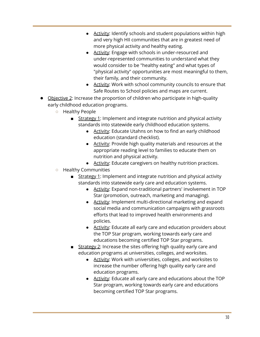- Activity: Identify schools and student populations within high and very high HII communities that are in greatest need of more physical activity and healthy eating.
- Activity: Engage with schools in under-resourced and under-represented communities to understand what they would consider to be "healthy eating" and what types of "physical activity" opportunities are most meaningful to them, their family, and their community.
- Activity: Work with school community councils to ensure that Safe Routes to School policies and maps are current.
- <span id="page-29-0"></span>● Objective 2: Increase the proportion of children who participate in high-quality early childhood education programs.
	- Healthy People
		- Strategy 1: Implement and integrate nutrition and physical activity standards into statewide early childhood education systems.
			- Activity: Educate Utahns on how to find an early childhood education (standard checklist).
			- Activity: Provide high quality materials and resources at the appropriate reading level to families to educate them on nutrition and physical activity.
			- Activity: Educate caregivers on healthy nutrition practices.
	- Healthy Communities
		- Strategy 1: Implement and integrate nutrition and physical activity standards into statewide early care and education systems.
			- Activity: Expand non-traditional partners' involvement in TOP Star (promotion, outreach, marketing and managing).
			- Activity: Implement multi-directional marketing and expand social media and communication campaigns with grassroots efforts that lead to improved health environments and policies.
			- Activity: Educate all early care and education providers about the TOP Star program, working towards early care and educations becoming certified TOP Star programs.
		- Strategy 2: Increase the sites offering high quality early care and education programs at universities, colleges, and worksites.
			- Activity: Work with universities, colleges, and worksites to increase the number offering high quality early care and education programs.
			- Activity: Educate all early care and educations about the TOP Star program, working towards early care and educations becoming certified TOP Star programs.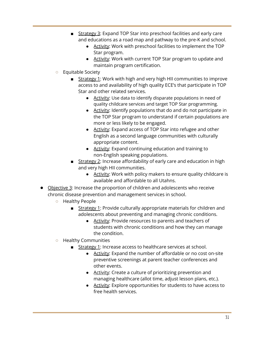- Strategy 3: Expand TOP Star into preschool facilities and early care and educations as a road map and pathway to the pre-K and school.
	- Activity: Work with preschool facilities to implement the TOP Star program.
	- Activity: Work with current TOP Star program to update and maintain program certification.
- Equitable Society
	- Strategy 1: Work with high and very high HII communities to improve access to and availability of high quality ECE's that participate in TOP Star and other related services.
		- Activity: Use data to identify disparate populations in need of quality childcare services and target TOP Star programming.
		- Activity: Identify populations that do and do not participate in the TOP Star program to understand if certain populations are more or less likely to be engaged.
		- Activity: Expand access of TOP Star into refugee and other English as a second language communities with culturally appropriate content.
		- Activity: Expand continuing education and training to non-English speaking populations.
	- Strategy 2: Increase affordability of early care and education in high and very high HII communities.
		- Activity: Work with policy makers to ensure quality childcare is available and affordable to all Utahns.
- <span id="page-30-0"></span>● Objective 3: Increase the proportion of children and adolescents who receive chronic disease prevention and management services in school.
	- Healthy People
		- Strategy 1: Provide culturally appropriate materials for children and adolescents about preventing and managing chronic conditions.
			- Activity: Provide resources to parents and teachers of students with chronic conditions and how they can manage the condition.
	- Healthy Communities
		- Strategy 1: Increase access to healthcare services at school.
			- Activity: Expand the number of affordable or no cost on-site preventive screenings at parent teacher conferences and other events.
			- Activity: Create a culture of prioritizing prevention and managing healthcare (allot time, adjust lesson plans, etc.).
			- Activity: Explore opportunities for students to have access to free health services.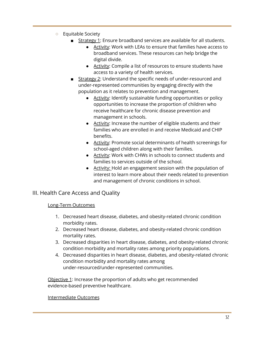- Equitable Society
	- Strategy 1: Ensure broadband services are available for all students.
		- Activity: Work with LEAs to ensure that families have access to broadband services. These resources can help bridge the digital divide.
		- Activity: Compile a list of resources to ensure students have access to a variety of health services.
	- Strategy 2: Understand the specific needs of under-resourced and under-represented communities by engaging directly with the population as it relates to prevention and management.
		- Activity: Identify sustainable funding opportunities or policy opportunities to increase the proportion of children who receive healthcare for chronic disease prevention and management in schools.
		- Activity: Increase the number of eligible students and their families who are enrolled in and receive Medicaid and CHIP benefits.
		- Activity: Promote social determinants of health screenings for school-aged children along with their families.
		- Activity: Work with CHWs in schools to connect students and families to services outside of the school.
		- Activity: Hold an engagement session with the population of interest to learn more about their needs related to prevention and management of chronic conditions in school.

# <span id="page-31-0"></span>III. Health Care Access and Quality

## Long-Term Outcomes

- 1. Decreased heart disease, diabetes, and obesity-related chronic condition morbidity rates.
- 2. Decreased heart disease, diabetes, and obesity-related chronic condition mortality rates.
- 3. Decreased disparities in heart disease, diabetes, and obesity-related chronic condition morbidity and mortality rates among priority populations.
- 4. Decreased disparities in heart disease, diabetes, and obesity-related chronic condition morbidity and mortality rates among under-resourced/under-represented communities.

Objective 1: Increase the proportion of adults who get recommended evidence-based preventive healthcare.

## Intermediate Outcomes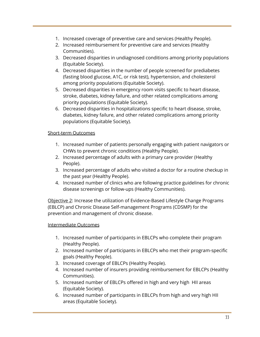- 1. Increased coverage of preventive care and services (Healthy People).
- 2. Increased reimbursement for preventive care and services (Healthy Communities).
- 3. Decreased disparities in undiagnosed conditions among priority populations (Equitable Society).
- 4. Decreased disparities in the number of people screened for prediabetes (fasting blood glucose, A1C, or risk test), hypertension, and cholesterol among priority populations (Equitable Society).
- 5. Decreased disparities in emergency room visits specific to heart disease, stroke, diabetes, kidney failure, and other related complications among priority populations (Equitable Society).
- 6. Decreased disparities in hospitalizations specific to heart disease, stroke, diabetes, kidney failure, and other related complications among priority populations (Equitable Society).

## Short-term Outcomes

- 1. Increased number of patients personally engaging with patient navigators or CHWs to prevent chronic conditions (Healthy People).
- 2. Increased percentage of adults with a primary care provider (Healthy People).
- 3. Increased percentage of adults who visited a doctor for a routine checkup in the past year (Healthy People).
- 4. Increased number of clinics who are following practice guidelines for chronic disease screenings or follow-ups (Healthy Communities).

Objective 2: Increase the utilization of Evidence-Based Lifestyle Change Programs (EBLCP) and Chronic Disease Self-management Programs (CDSMP) for the prevention and management of chronic disease.

## Intermediate Outcomes

- 1. Increased number of participants in EBLCPs who complete their program (Healthy People).
- 2. Increased number of participants in EBLCPs who met their program-specific goals (Healthy People).
- 3. Increased coverage of EBLCPs (Healthy People).
- 4. Increased number of insurers providing reimbursement for EBLCPs (Healthy Communities).
- 5. Increased number of EBLCPs offered in high and very high HII areas (Equitable Society).
- 6. Increased number of participants in EBLCPs from high and very high HII areas (Equitable Society).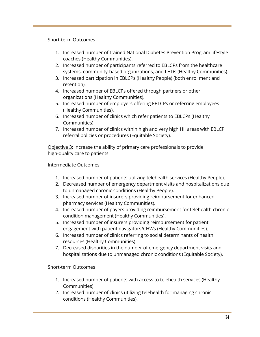#### Short-term Outcomes

- 1. Increased number of trained National Diabetes Prevention Program lifestyle coaches (Healthy Communities).
- 2. Increased number of participants referred to EBLCPs from the healthcare systems, community-based organizations, and LHDs (Healthy Communities).
- 3. Increased participation in EBLCPs (Healthy People) (both enrollment and retention).
- 4. Increased number of EBLCPs offered through partners or other organizations (Healthy Communities).
- 5. Increased number of employers offering EBLCPs or referring employees (Healthy Communities).
- 6. Increased number of clinics which refer patients to EBLCPs (Healthy Communities).
- 7. Increased number of clinics within high and very high HII areas with EBLCP referral policies or procedures (Equitable Society).

Objective 3: Increase the ability of primary care professionals to provide high-quality care to patients.

## Intermediate Outcomes

- 1. Increased number of patients utilizing telehealth services (Healthy People).
- 2. Decreased number of emergency department visits and hospitalizations due to unmanaged chronic conditions (Healthy People).
- 3. Increased number of insurers providing reimbursement for enhanced pharmacy services (Healthy Communities).
- 4. Increased number of payers providing reimbursement for telehealth chronic condition management (Healthy Communities).
- 5. Increased number of insurers providing reimbursement for patient engagement with patient navigators/CHWs (Healthy Communities).
- 6. Increased number of clinics referring to social determinants of health resources (Healthy Communities).
- 7. Decreased disparities in the number of emergency department visits and hospitalizations due to unmanaged chronic conditions (Equitable Society).

## Short-term Outcomes

- 1. Increased number of patients with access to telehealth services (Healthy Communities).
- 2. Increased number of clinics utilizing telehealth for managing chronic conditions (Healthy Communities).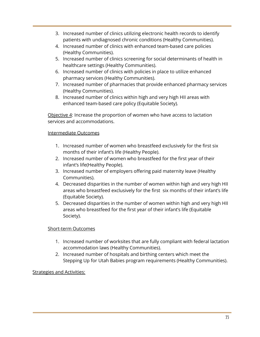- 3. Increased number of clinics utilizing electronic health records to identify patients with undiagnosed chronic conditions (Healthy Communities).
- 4. Increased number of clinics with enhanced team-based care policies (Healthy Communities).
- 5. Increased number of clinics screening for social determinants of health in healthcare settings (Healthy Communities).
- 6. Increased number of clinics with policies in place to utilize enhanced pharmacy services (Healthy Communities).
- 7. Increased number of pharmacies that provide enhanced pharmacy services (Healthy Communities).
- 8. Increased number of clinics within high and very high HII areas with enhanced team-based care policy (Equitable Society).

Objective 4: Increase the proportion of women who have access to lactation services and accommodations.

## Intermediate Outcomes

- 1. Increased number of women who breastfeed exclusively for the first six months of their infant's life (Healthy People).
- 2. Increased number of women who breastfeed for the first year of their infant's life(Healthy People).
- 3. Increased number of employers offering paid maternity leave (Healthy Communities).
- 4. Decreased disparities in the number of women within high and very high HII areas who breastfeed exclusively for the first six months of their infant's life (Equitable Society).
- 5. Decreased disparities in the number of women within high and very high HII areas who breastfeed for the first year of their infant's life (Equitable Society).

## Short-term Outcomes

- 1. Increased number of worksites that are fully compliant with federal lactation accommodation laws (Healthy Communities).
- 2. Increased number of hospitals and birthing centers which meet the Stepping Up for Utah Babies program requirements (Healthy Communities).

## Strategies and Activities: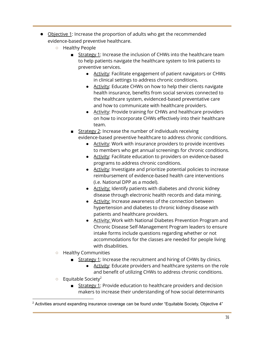- <span id="page-35-0"></span>● Objective 1: Increase the proportion of adults who get the recommended evidence-based preventive healthcare.
	- Healthy People
		- Strategy 1: Increase the inclusion of CHWs into the healthcare team to help patients navigate the healthcare system to link patients to preventive services.
			- Activity: Facilitate engagement of patient navigators or CHWs in clinical settings to address chronic conditions.
			- Activity: Educate CHWs on how to help their clients navigate health insurance, benefits from social services connected to the healthcare system, evidenced-based preventative care and how to communicate with healthcare providers.
			- Activity: Provide training for CHWs and healthcare providers on how to incorporate CHWs effectively into their healthcare team.
		- Strategy 2: Increase the number of individuals receiving evidence-based preventive healthcare to address chronic conditions.
			- Activity: Work with insurance providers to provide incentives to members who get annual screenings for chronic conditions.
			- Activity: Facilitate education to providers on evidence-based programs to address chronic conditions.
			- Activity: Investigate and prioritize potential policies to increase reimbursement of evidence-based health care interventions (i.e. National DPP as a model).
			- Activity: Identify patients with diabetes and chronic kidney disease through electronic health records and data mining.
			- Activity: Increase awareness of the connection between hypertension and diabetes to chronic kidney disease with patients and healthcare providers.
			- Activity: Work with National Diabetes Prevention Program and Chronic Disease Self-Management Program leaders to ensure intake forms include questions regarding whether or not accommodations for the classes are needed for people living with disabilities.
	- Healthy Communities
		- Strategy 1: Increase the recruitment and hiring of CHWs by clinics.
			- Activity: Educate providers and healthcare systems on the role and benefit of utilizing CHWs to address chronic conditions.
	- $\circ$  Equitable Society<sup>2</sup>
		- Strategy 1: Provide education to healthcare providers and decision makers to increase their understanding of how social determinants

 $2$  Activities around expanding insurance coverage can be found under "Equitable Society, Objective 4"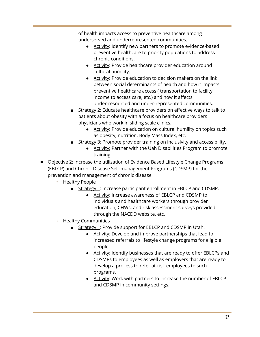of health impacts access to preventive healthcare among underserved and underrepresented communities.

- Activity: Identify new partners to promote evidence-based preventive healthcare to priority populations to address chronic conditions.
- Activity: Provide healthcare provider education around cultural humility.
- Activity: Provide education to decision makers on the link between social determinants of health and how it impacts preventive healthcare access ( transportation to facility, income to access care, etc.) and how it affects under-resourced and under-represented communities.
- Strategy 2: Educate healthcare providers on effective ways to talk to patients about obesity with a focus on healthcare providers physicians who work in sliding scale clinics.
	- Activity: Provide education on cultural humility on topics such as obesity, nutrition, Body Mass Index, etc.
- Strategy 3: Promote provider training on inclusivity and accessibility.
	- Activity: Partner with the Uah Disabilities Program to promote training
- <span id="page-36-0"></span>● Objective 2: Increase the utilization of Evidence Based Lifestyle Change Programs (EBLCP) and Chronic Disease Self-management Programs (CDSMP) for the prevention and management of chronic disease
	- Healthy People
		- Strategy 1: Increase participant enrollment in EBLCP and CDSMP.
			- Activity: Increase awareness of EBLCP and CDSMP to individuals and healthcare workers through provider education, CHWs, and risk assessment surveys provided through the NACDD website, etc.
	- Healthy Communities
		- Strategy 1: Provide support for EBLCP and CDSMP in Utah.
			- Activity: Develop and improve partnerships that lead to increased referrals to lifestyle change programs for eligible people.
			- Activity: Identify businesses that are ready to offer EBLCPs and CDSMPs to employees as well as employers that are ready to develop a process to refer at-risk employees to such programs.
			- Activity: Work with partners to increase the number of EBLCP and CDSMP in community settings.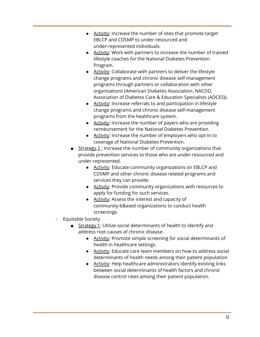- Activity: Increase the number of sites that promote target EBLCP and CDSMP to under-resourced and under-represented individuals.
- Activity: Work with partners to increase the number of trained lifestyle coaches for the National Diabetes Prevention Program.
- Activity: Collaborate with partners to deliver the lifestyle change programs and chronic disease self-management programs through partners or collaboration with other organizations (American Diabetes Association, NACDD, Association of Diabetes Care & Education Specialists (ADCES)).
- Activity: Increase referrals to and participation in lifestyle change programs and chronic disease self-management programs from the healthcare system.
- Activity: Increase the number of payers who are providing reimbursement for the National Diabetes Prevention.
- Activity: Increase the number of employers who opt-in to coverage of National Diabetes Prevention.
- Strategy 2 : Increase the number of community organizations that provide prevention services to those who are under-resourced and under-represented.
	- Activity: Educate community organizations on EBLCP and CDSMP and other chronic disease related programs and services they can provide.
	- Activity: Provide community organizations with resources to apply for funding for such services.
	- Activity: Assess the interest and capacity of community-bBased organizations to conduct health screenings.
- Equitable Society
	- Strategy 1: Utilize social determinants of health to identify and address root causes of chronic disease.
		- Activity: Promote simple screening for social determinants of health in healthcare settings.
		- Activity: Educate care team members on how to address social determinants of health needs among their patient population.
		- Activity: Help healthcare administrators identify existing links between social determinants of health factors and chronic disease control rates among their patient population.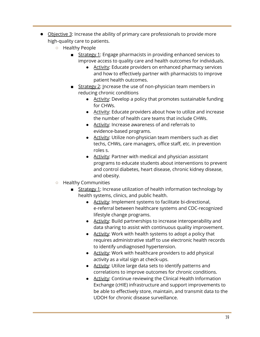- <span id="page-38-0"></span>● Objective 3: Increase the ability of primary care professionals to provide more high-quality care to patients.
	- Healthy People
		- Strategy 1: Engage pharmacists in providing enhanced services to improve access to quality care and health outcomes for individuals.
			- Activity: Educate providers on enhanced pharmacy services and how to effectively partner with pharmacists to improve patient health outcomes.
		- Strategy 2: Increase the use of non-physician team members in reducing chronic conditions
			- Activity: Develop a policy that promotes sustainable funding for CHWs.
			- Activity: Educate providers about how to utilize and increase the number of health care teams that include CHWs.
			- Activity: Increase awareness of and referrals to evidence-based programs.
			- Activity: Utilize non-physician team members such as diet techs, CHWs, care managers, office staff, etc. in prevention roles s.
			- Activity: Partner with medical and physician assistant programs to educate students about interventions to prevent and control diabetes, heart disease, chronic kidney disease, and obesity.
	- Healthy Communities
		- Strategy 1: Increase utilization of health information technology by health systems, clinics, and public health.
			- Activity: Implement systems to facilitate bi-directional, e-referral between healthcare systems and CDC-recognized lifestyle change programs.
			- Activity: Build partnerships to increase interoperability and data sharing to assist with continuous quality improvement.
			- Activity: Work with health systems to adopt a policy that requires administrative staff to use electronic health records to identify undiagnosed hypertension.
			- Activity: Work with healthcare providers to add physical activity as a vital sign at check-ups.
			- Activity: Utilize large data sets to identify patterns and correlations to improve outcomes for chronic conditions.
			- Activity: Continue reviewing the Clinical Health Information Exchange (cHIE) infrastructure and support improvements to be able to effectively store, maintain, and transmit data to the UDOH for chronic disease surveillance.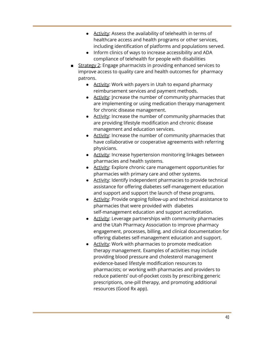- Activity: Assess the availability of telehealth in terms of healthcare access and health programs or other services, including identification of platforms and populations served.
- Inform clinics of ways to increase accessibility and ADA compliance of telehealth for people with disabilities
- Strategy 2: Engage pharmacists in providing enhanced services to improve access to quality care and health outcomes for pharmacy patrons.
	- Activity: Work with payers in Utah to expand pharmacy reimbursement services and payment methods.
	- Activity: Increase the number of community pharmacies that are implementing or using medication therapy management for chronic disease management.
	- Activity: Increase the number of community pharmacies that are providing lifestyle modification and chronic disease management and education services.
	- Activity: Increase the number of community pharmacies that have collaborative or cooperative agreements with referring physicians.
	- Activity: Increase hypertension monitoring linkages between pharmacies and health systems.
	- Activity: Explore chronic care management opportunities for pharmacies with primary care and other systems.
	- Activity: Identify independent pharmacies to provide technical assistance for offering diabetes self-management education and support and support the launch of these programs.
	- Activity: Provide ongoing follow-up and technical assistance to pharmacies that were provided with diabetes self-management education and support accreditation.
	- Activity: Leverage partnerships with community pharmacies and the Utah Pharmacy Association to improve pharmacy engagement, processes, billing, and clinical documentation for offering diabetes self-management education and support.
	- Activity: Work with pharmacies to promote medication therapy management. Examples of activities may include providing blood pressure and cholesterol management evidence-based lifestyle modification resources to pharmacists; or working with pharmacies and providers to reduce patients' out-of-pocket costs by prescribing generic prescriptions, one-pill therapy, and promoting additional resources (Good Rx app).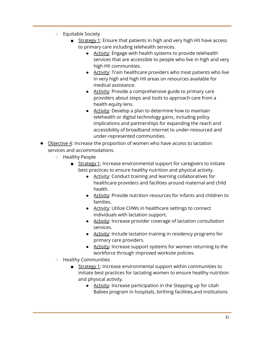- Equitable Society
	- Strategy 1: Ensure that patients in high and very high HII have access to primary care including telehealth services.
		- Activity: Engage with health systems to provide telehealth services that are accessible to people who live in high and very high HII communities.
		- Activity: Train healthcare providers who treat patients who live in very high and high HII areas on resources available for medical assistance.
		- Activity: Provide a comprehensive guide to primary care providers about steps and tools to approach care from a health equity lens.
		- Activity: Develop a plan to determine how to maintain telehealth or digital technology gains, including policy implications and partnerships for expanding the reach and accessibility of broadband internet to under-resourced and under-represented communities.
- <span id="page-40-0"></span>● Objective 4: Increase the proportion of women who have access to lactation services and accommodations.
	- Healthy People
		- Strategy 1: Increase environmental support for caregivers to initiate best practices to ensure healthy nutrition and physical activity.
			- Activity: Conduct training and learning collaboratives for healthcare providers and facilities around maternal and child health.
			- Activity: Provide nutrition resources for infants and children to families.
			- Activity: Utilize CHWs in healthcare settings to connect individuals with lactation support.
			- Activity: Increase provider coverage of lactation consultation services.
			- Activity: Include lactation training in residency programs for primary care providers.
			- Activity: Increase support systems for women returning to the workforce through improved worksite policies.
	- Healthy Communities
		- Strategy 1: Increase environmental support within communities to initiate best practices for lactating women to ensure healthy nutrition and physical activity.
			- Activity: Increase participation in the Stepping up for Utah Babies program in hospitals, birthing facilities,and institutions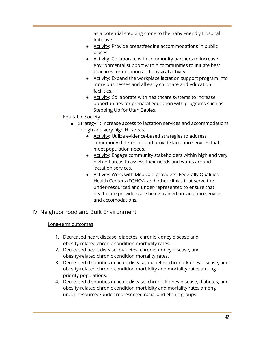as a potential stepping stone to the Baby Friendly Hospital Initiative.

- Activity: Provide breastfeeding accommodations in public places.
- Activity: Collaborate with community partners to increase environmental support within communities to initiate best practices for nutrition and physical activity.
- Activity: Expand the workplace lactation support program into more businesses and all early childcare and education facilities.
- Activity: Collaborate with healthcare systems to increase opportunities for prenatal education with programs such as Stepping Up for Utah Babies.
- Equitable Society
	- Strategy 1: Increase access to lactation services and accommodations in high and very high HII areas.
		- Activity: Utilize evidence-based strategies to address community differences and provide lactation services that meet population needs.
		- Activity: Engage community stakeholders within high and very high HII areas to assess their needs and wants around lactation services.
		- Activity: Work with Medicaid providers, Federally Qualified Health Centers (FQHCs), and other clinics that serve the under-resourced and under-represented to ensure that healthcare providers are being trained on lactation services and accomodations.

# <span id="page-41-0"></span>IV. Neighborhood and Built Environment

## Long-term outcomes

- 1. Decreased heart disease, diabetes, chronic kidney disease and obesity-related chronic condition morbidity rates.
- 2. Decreased heart disease, diabetes, chronic kidney disease, and obesity-related chronic condition mortality rates.
- 3. Decreased disparities in heart disease, diabetes, chronic kidney disease, and obesity-related chronic condition morbidity and mortality rates among priority populations.
- 4. Decreased disparities in heart disease, chronic kidney disease, diabetes, and obesity-related chronic condition morbidity and mortality rates among under-resourced/under-represented racial and ethnic groups.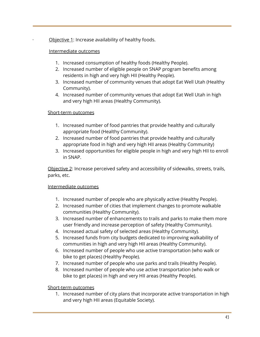Objective 1: Increase availability of healthy foods.

## Intermediate outcomes

- 1. Increased consumption of healthy foods (Healthy People).
- 2. Increased number of eligible people on SNAP program benefits among residents in high and very high HII (Healthy People).
- 3. Increased number of community venues that adopt Eat Well Utah (Healthy Community).
- 4. Increased number of community venues that adopt Eat Well Utah in high and very high HII areas (Healthy Community).

## Short-term outcomes

- 1. Increased number of food pantries that provide healthy and culturally appropriate food (Healthy Community).
- 2. Increased number of food pantries that provide healthy and culturally appropriate food in high and very high HII areas (Healthy Community)
- 3. Increased opportunities for eligible people in high and very high HII to enroll in SNAP.

Objective 2: Increase perceived safety and accessibility of sidewalks, streets, trails, parks, etc.

## Intermediate outcomes

- 1. Increased number of people who are physically active (Healthy People).
- 2. Increased number of cities that implement changes to promote walkable communities (Healthy Community).
- 3. Increased number of enhancements to trails and parks to make them more user friendly and increase perception of safety (Healthy Community).
- 4. Increased actual safety of selected areas (Healthy Community).
- 5. Increased funds from city budgets dedicated to improving walkability of communities in high and very high HII areas (Healthy Community).
- 6. Increased number of people who use active transportation (who walk or bike to get places) (Healthy People).
- 7. Increased number of people who use parks and trails (Healthy People).
- 8. Increased number of people who use active transportation (who walk or bike to get places) in high and very HII areas (Healthy People).

## Short-term outcomes

1. Increased number of city plans that incorporate active transportation in high and very high HII areas (Equitable Society).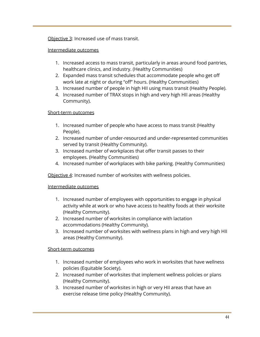Objective 3: Increased use of mass transit.

#### Intermediate outcomes

- 1. Increased access to mass transit, particularly in areas around food pantries, healthcare clinics, and industry. (Healthy Communities)
- 2. Expanded mass transit schedules that accommodate people who get off work late at night or during "off" hours. (Healthy Communities)
- 3. Increased number of people in high HII using mass transit (Healthy People).
- 4. Increased number of TRAX stops in high and very high HII areas (Healthy Community).

#### Short-term outcomes

- 1. Increased number of people who have access to mass transit (Healthy People).
- 2. Increased number of under-resourced and under-represented communities served by transit (Healthy Community).
- 3. Increased number of workplaces that offer transit passes to their employees. (Healthy Communities)
- 4. Increased number of workplaces with bike parking. (Healthy Communities)

Objective 4: Increased number of worksites with wellness policies.

#### Intermediate outcomes

- 1. Increased number of employees with opportunities to engage in physical activity while at work or who have access to healthy foods at their worksite (Healthy Community).
- 2. Increased number of worksites in compliance with lactation accommodations (Healthy Community).
- 3. Increased number of worksites with wellness plans in high and very high HII areas (Healthy Community).

## Short-term outcomes

- 1. Increased number of employees who work in worksites that have wellness policies (Equitable Society).
- 2. Increased number of worksites that implement wellness policies or plans (Healthy Community).
- 3. Increased number of worksites in high or very HII areas that have an exercise release time policy (Healthy Community).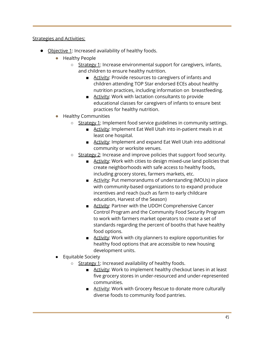## **Strategies and Activities:**

- <span id="page-44-1"></span><span id="page-44-0"></span>● Objective 1: Increased availability of healthy foods.
	- Healthy People
		- Strategy 1: Increase environmental support for caregivers, infants, and children to ensure healthy nutrition.
			- Activity: Provide resources to caregivers of infants and children attending TOP Star endorsed ECEs about healthy nutrition practices, including information on breastfeeding.
			- Activity: Work with lactation consultants to provide educational classes for caregivers of infants to ensure best practices for healthy nutrition.
	- Healthy Communities
		- Strategy 1: Implement food service guidelines in community settings.
			- Activity: Implement Eat Well Utah into in-patient meals in at least one hospital.
			- Activity: Implement and expand Eat Well Utah into additional community or worksite venues.
		- Strategy 2: Increase and improve policies that support food security.
			- Activity: Work with cities to design mixed-use land policies that create neighborhoods with safe access to healthy foods, including grocery stores, farmers markets, etc.
			- Activity: Put memorandums of understanding (MOUs) in place with community-based organizations to to expand produce incentives and reach (such as farm to early childcare education, Harvest of the Season)
			- Activity: Partner with the UDOH Comprehensive Cancer Control Program and the Community Food Security Program to work with farmers market operators to create a set of standards regarding the percent of booths that have healthy food options.
			- Activity: Work with city planners to explore opportunities for healthy food options that are accessible to new housing development units.
	- Equitable Society
		- Strategy 1: Increased availability of healthy foods.
			- Activity: Work to implement healthy checkout lanes in at least five grocery stores in under-resourced and under-represented communities.
			- Activity: Work with Grocery Rescue to donate more culturally diverse foods to community food pantries.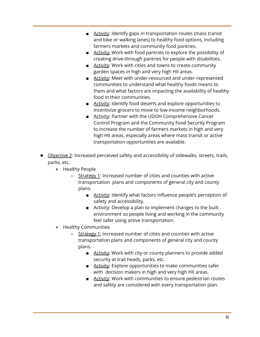- Activity: Identify gaps in transportation routes (mass transit and bike or walking lanes) to healthy food options, including farmers markets and community food pantries.
- Activity: Work with food pantries to explore the possibility of creating drive-through pantries for people with disabilities.
- Activity: Work with cities and towns to create community garden spaces in high and very high HII areas.
- Activity: Meet with under-resourced and under-represented communities to understand what healthy foods means to them and what factors are impacting the availability of healthy food in their communities.
- Activity: Identify food deserts and explore opportunities to incentivize grocers to move to low-income neighborhoods.
- Activity: Partner with the UDOH Comprehensive Cancer Control Program and the Community Food Security Program to increase the number of farmers markets in high and very high HII areas, especially areas where mass transit or active transportation opportunities are available.
- <span id="page-45-0"></span>Objective 2: Increased perceived safety and accessibility of sidewalks, streets, trails, parks, etc.
	- Healthy People
		- Strategy 1: Increased number of cities and counties with active transportation plans and components of general city and county plans.
			- Activity: Identify what factors influence people's perception of safety and accessibility.
			- Activity: Develop a plan to implement changes to the built environment so people living and working in the community feel safer using active transportation.
	- Healthy Communities
		- Strategy 1: Increased number of cities and counties with active transportation plans and components of general city and county plans.
			- Activity: Work with city or county planners to provide added security at trail heads, parks, etc.
			- Activity: Explore opportunities to make communities safer with decision makers in high and very high HII areas.
			- Activity: Work with communities to ensure pedestrian routes and safety are considered with every transportation plan.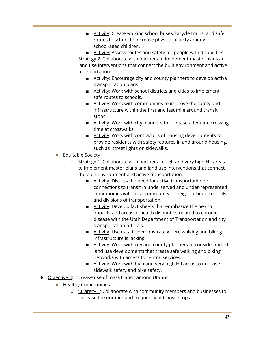- Activity: Create walking school buses, bicycle trains, and safe routes to school to increase physical activity among school-aged children.
- Activity: Assess routes and safety for people with disabilities
- Strategy 2: Collaborate with partners to implement master plans and land use interventions that connect the built environment and active transportation.
	- Activity: Encourage city and county planners to develop active transportation plans.
	- Activity: Work with school districts and cities to implement safe routes to schools.
	- Activity: Work with communities to improve the safety and infrastructure within the first and last mile around transit stops.
	- Activity: Work with city planners to increase adequate crossing time at crosswalks.
	- Activity: Work with contractors of housing developments to provide residents with safety features in and around housing, such as street lights on sidewalks.
- <span id="page-46-0"></span>● Equitable Society
	- Strategy 1: Collaborate with partners in high and very high HII areas to implement master plans and land use interventions that connect the built environment and active transportation.
		- Activity: Discuss the need for active transportation or connections to transit in underserved and under-represented communities with local community or neighborhood councils and divisions of transportation.
		- Activity: Develop fact sheets that emphasize the health impacts and areas of health disparities related to chronic disease with the Utah Department of Transportation and city transportation officials.
		- Activity: Use data to demonstrate where walking and biking infrastructure is lacking.
		- Activity: Work with city and county planners to consider mixed land use developments that create safe walking and biking networks with access to central services.
		- Activity: Work with high and very high HII areas to improve sidewalk safety and bike safety.
- <span id="page-46-1"></span>● Objective 3: Increase use of mass transit among Utahns.
	- Healthy Communities
		- Strategy 1: Collaborate with community members and businesses to increase the number and frequency of transit stops.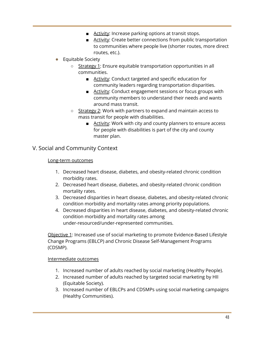- Activity: Increase parking options at transit stops.
- Activity: Create better connections from public transportation to communities where people live (shorter routes, more direct routes, etc.).
- Equitable Society
	- Strategy 1: Ensure equitable transportation opportunities in all communities.
		- Activity: Conduct targeted and specific education for community leaders regarding transportation disparities.
		- Activity: Conduct engagement sessions or focus groups with community members to understand their needs and wants around mass transit.
	- Strategy 2: Work with partners to expand and maintain access to mass transit for people with disabilities.
		- Activity: Work with city and county planners to ensure access for people with disabilities is part of the city and county master plan.

## <span id="page-47-0"></span>V. Social and Community Context

## Long-term outcomes

- 1. Decreased heart disease, diabetes, and obesity-related chronic condition morbidity rates.
- 2. Decreased heart disease, diabetes, and obesity-related chronic condition mortality rates.
- 3. Decreased disparities in heart disease, diabetes, and obesity-related chronic condition morbidity and mortality rates among priority populations.
- 4. Decreased disparities in heart disease, diabetes, and obesity-related chronic condition morbidity and mortality rates among under-resourced/under-represented communities.

Objective 1: Increased use of social marketing to promote Evidence-Based Lifestyle Change Programs (EBLCP) and Chronic Disease Self-Management Programs (CDSMP).

## Intermediate outcomes

- 1. Increased number of adults reached by social marketing (Healthy People).
- 2. Increased number of adults reached by targeted social marketing by HII (Equitable Society).
- 3. Increased number of EBLCPs and CDSMPs using social marketing campaigns (Healthy Communities).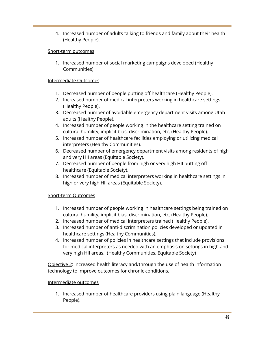4. Increased number of adults talking to friends and family about their health (Healthy People).

#### Short-term outcomes

1. Increased number of social marketing campaigns developed (Healthy Communities).

#### Intermediate Outcomes

- 1. Decreased number of people putting off healthcare (Healthy People).
- 2. Increased number of medical interpreters working in healthcare settings (Healthy People).
- 3. Decreased number of avoidable emergency department visits among Utah adults (Healthy People).
- 4. Increased number of people working in the healthcare setting trained on cultural humility, implicit bias, discrimination, etc. (Healthy People).
- 5. Increased number of healthcare facilities employing or utilizing medical interpreters (Healthy Communities).
- 6. Decreased number of emergency department visits among residents of high and very HII areas (Equitable Society).
- 7. Decreased number of people from high or very high HII putting off healthcare (Equitable Society).
- 8. Increased number of medical interpreters working in healthcare settings in high or very high HII areas (Equitable Society).

## Short-term Outcomes

- 1. Increased number of people working in healthcare settings being trained on cultural humility, implicit bias, discrimination, etc. (Healthy People).
- 2. Increased number of medical interpreters trained (Healthy People).
- 3. Increased number of anti-discrimination policies developed or updated in healthcare settings (Healthy Communities).
- 4. Increased number of policies in healthcare settings that include provisions for medical interpreters as needed with an emphasis on settings in high and very high HII areas. (Healthy Communities, Equitable Society)

Objective 2: Increased health literacy and/through the use of health information technology to improve outcomes for chronic conditions.

#### Intermediate outcomes

1. Increased number of healthcare providers using plain language (Healthy People).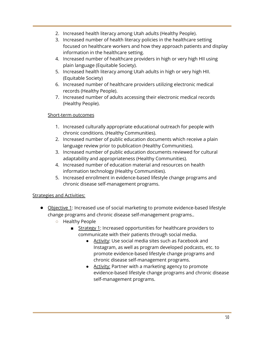- 2. Increased health literacy among Utah adults (Healthy People).
- 3. Increased number of health literacy policies in the healthcare setting focused on healthcare workers and how they approach patients and display information in the healthcare setting.
- 4. Increased number of healthcare providers in high or very high HII using plain language (Equitable Society).
- 5. Increased health literacy among Utah adults in high or very high HII. (Equitable Society)
- 6. Increased number of healthcare providers utilizing electronic medical records (Healthy People).
- 7. Increased number of adults accessing their electronic medical records (Healthy People).

## Short-term outcomes

- 1. Increased culturally appropriate educational outreach for people with chronic conditions. (Healthy Communities).
- 2. Increased number of public education documents which receive a plain language review prior to publication (Healthy Communities).
- 3. Increased number of public education documents reviewed for cultural adaptability and appropriateness (Healthy Communities).
- 4. Increased number of education material and resources on health information technology (Healthy Communities).
- 5. Increased enrollment in evidence-based lifestyle change programs and chronic disease self-management programs.

## **Strategies and Activities:**

- <span id="page-49-0"></span>● Objective 1: Increased use of social marketing to promote evidence-based lifestyle change programs and chronic disease self-management programs..
	- Healthy People
		- Strategy 1: Increased opportunities for healthcare providers to communicate with their patients through social media.
			- Activity: Use social media sites such as Facebook and Instagram, as well as program developed podcasts, etc. to promote evidence-based lifestyle change programs and chronic disease self-management programs.
			- Activity: Partner with a marketing agency to promote evidence-based lifestyle change programs and chronic disease self-management programs.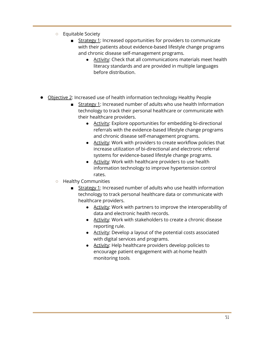- Equitable Society
	- Strategy 1: Increased opportunities for providers to communicate with their patients about evidence-based lifestyle change programs and chronic disease self-management programs.
		- Activity: Check that all communications materials meet health literacy standards and are provided in multiple languages before distribution.
- <span id="page-50-2"></span><span id="page-50-1"></span><span id="page-50-0"></span>● Objective 2: Increased use of health information technology Healthy People
	- Strategy 1: Increased number of adults who use health Information technology to track their personal healthcare or communicate with their healthcare providers.
		- Activity: Explore opportunities for embedding bi-directional referrals with the evidence-based lifestyle change programs and chronic disease self-management programs.
		- Activity: Work with providers to create workflow policies that increase utilization of bi-directional and electronic referral systems for evidence-based lifestyle change programs.
		- Activity: Work with healthcare providers to use health information technology to improve hypertension control rates.
	- Healthy Communities
		- Strategy 1: Increased number of adults who use health information technology to track personal healthcare data or communicate with healthcare providers.
			- Activity: Work with partners to improve the interoperability of data and electronic health records.
			- Activity: Work with stakeholders to create a chronic disease reporting rule.
			- Activity: Develop a layout of the potential costs associated with digital services and programs.
			- Activity: Help healthcare providers develop policies to encourage patient engagement with at-home health monitoring tools.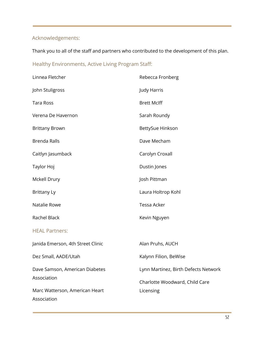# Acknowledgements:

Thank you to all of the staff and partners who contributed to the development of this plan.

Healthy Environments, Active Living Program Staff:

| Linnea Fletcher                               | Rebecca Fronberg                     |
|-----------------------------------------------|--------------------------------------|
| John Stuligross                               | <b>Judy Harris</b>                   |
| <b>Tara Ross</b>                              | <b>Brett McIff</b>                   |
| Verena De Havernon                            | Sarah Roundy                         |
| <b>Brittany Brown</b>                         | BettySue Hinkson                     |
| <b>Brenda Ralls</b>                           | Dave Mecham                          |
| Caitlyn Jasumback                             | Carolyn Croxall                      |
| Taylor Hoj                                    | Dustin Jones                         |
| Mckell Drury                                  | Josh Pittman                         |
| <b>Brittany Ly</b>                            | Laura Holtrop Kohl                   |
| <b>Natalie Rowe</b>                           | Tessa Acker                          |
| Rachel Black                                  | Kevin Nguyen                         |
| <b>HEAL Partners:</b>                         |                                      |
| Janida Emerson, 4th Street Clinic             | Alan Pruhs, AUCH                     |
| Dez Small, AADE/Utah                          | Kalynn Filion, BeWise                |
| Dave Samson, American Diabetes                | Lynn Martinez, Birth Defects Network |
| Association                                   | Charlotte Woodward, Child Care       |
| Marc Watterson, American Heart<br>Association | Licensing                            |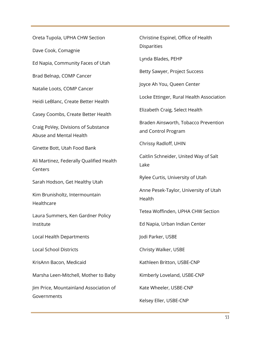Oreta Tupola, UPHA CHW Section Dave Cook, Comagnie Ed Napia, Community Faces of Utah Brad Belnap, COMP Cancer Natalie Loots, COMP Cancer Heidi LeBlanc, Create Better Health Casey Coombs, Create Better Health Craig PoVey, Divisions of Substance Abuse and Mental Health Ginette Bott, Utah Food Bank Ali Martinez, Federally Qualified Health **Centers** Sarah Hodson, Get Healthy Utah Kim Brunisholtz, Intermountain **Healthcare** Laura Summers, Ken Gardner Policy Institute Local Health Departments Local School Districts KrisAnn Bacon, Medicaid Marsha Leen-Mitchell, Mother to Baby Jim Price, Mountainland Association of Governments

Christine Espinel, Office of Health **Disparities** Lynda Blades, PEHP Betty Sawyer, Project Success Joyce Ah You, Queen Center Locke Ettinger, Rural Health Association Elizabeth Craig, Select Health Braden Ainsworth, Tobacco Prevention and Control Program Chrissy Radloff, UHIN Caitlin Schneider, United Way of Salt Lake Rylee Curtis, University of Utah Anne Pesek-Taylor, University of Utah **Health** Tetea Woffinden, UPHA CHW Section Ed Napia, Urban Indian Center Jodi Parker, USBE Christy Walker, USBE Kathleen Britton, USBE-CNP Kimberly Loveland, USBE-CNP Kate Wheeler, USBE-CNP

Kelsey Eller, USBE-CNP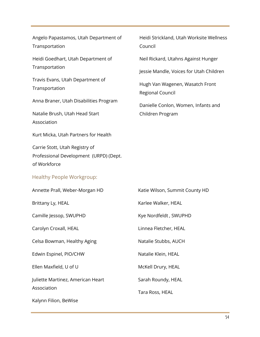Angelo Papastamos, Utah Department of Transportation

Heidi Goedhart, Utah Department of Transportation

Travis Evans, Utah Department of Transportation

Anna Braner, Utah Disabilities Program

Natalie Brush, Utah Head Start Association

Kurt Micka, Utah Partners for Health

Carrie Stott, Utah Registry of Professional Development (URPD) (Dept. of Workforce

Healthy People Workgroup:

| Annette Prall, Weber-Morgan HD    | Katie Wilson, Summit County HD |
|-----------------------------------|--------------------------------|
| Brittany Ly, HEAL                 | Karlee Walker, HEAL            |
| Camille Jessop, SWUPHD            | Kye Nordfeldt, SWUPHD          |
| Carolyn Croxall, HEAL             | Linnea Fletcher, HEAL          |
| Celsa Bowman, Healthy Aging       | Natalie Stubbs, AUCH           |
| Edwin Espinel, PIO/CHW            | Natalie Klein, HEAL            |
| Ellen Maxfield, U of U            | McKell Drury, HEAL             |
| Juliette Martinez, American Heart | Sarah Roundy, HEAL             |
| Association                       | Tara Ross, HEAL                |
| Kalynn Filion, BeWise             |                                |

Heidi Strickland, Utah Worksite Wellness Council

Neil Rickard, Utahns Against Hunger

Jessie Mandle, Voices for Utah Children

Hugh Van Wagenen, Wasatch Front Regional Council

Danielle Conlon, Women, Infants and Children Program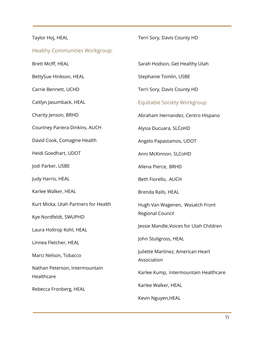| Taylor Hoj, HEAL                             | Terri Sory, Davis County HD                      |
|----------------------------------------------|--------------------------------------------------|
| <b>Healthy Communities Workgroup:</b>        |                                                  |
| Brett McIff, HEAL                            | Sarah Hodson, Get Healthy Utah                   |
| BettySue Hinkson, HEAL                       | Stephanie Tomlin, USBE                           |
| Carrie Bennett, UCHD                         | Terri Sory, Davis County HD                      |
| Caitlyn Jasumback, HEAL                      | <b>Equitable Society Workgroup</b>               |
| Charity Jenson, BRHD                         | Abraham Hernandez, Centro Hispano                |
| Courtney Pariera Dinkins, AUCH               | Alysia Ducuara, SLCoHD                           |
| David Cook, Comagine Health                  | Angelo Papastamos, UDOT                          |
| Heidi Goedhart, UDOT                         | Anni McKinnon, SLCoHD                            |
| Jodi Parker, USBE                            | Allena Pierce, BRHD                              |
| Judy Harris, HEAL                            | Beth Fiorello, AUCH                              |
| Karlee Walker, HEAL                          | Brenda Ralls, HEAL                               |
| Kurt Micka, Utah Partners for Health         | Hugh Van Wagenen, Wasatch Front                  |
| Kye Nordfeldt, SWUPHD                        | <b>Regional Council</b>                          |
| Laura Holtrop Kohl, HEAL                     | Jessie Mandle, Voices for Utah Children          |
| Linnea Fletcher, HEAL                        | John Stuligross, HEAL                            |
| Marci Nelson, Tobacco                        | Juliette Martinez, American Heart<br>Association |
| Nathan Peterson, Intermountain<br>Healthcare | Karlee Kump, Intermountain Healthcare            |
| Rebecca Fronberg, HEAL                       | Karlee Walker, HEAL                              |
|                                              | Kevin Nguyen, HEAL                               |